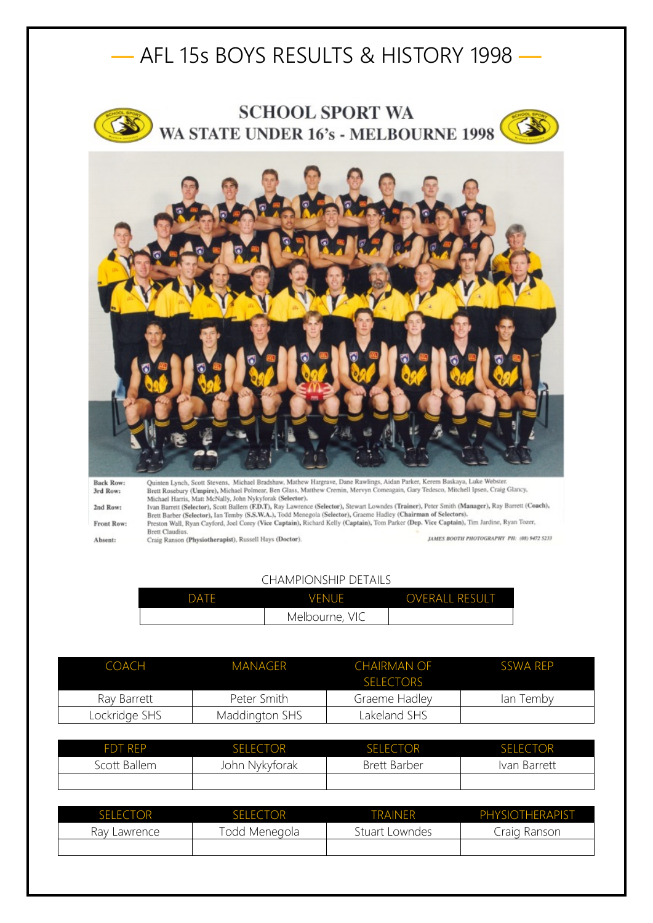







Quinten Lynch, Scott Stevens, Michael Bradshaw, Mathew Hargrave, Dane Rawlings, Aidan Parker, Kerem Baskaya, Luke Webster.<br>Brett Rosebury (Umpire), Michael Polmear, Ben Glass, Matthew Cremin, Mervyn Comeagain, Gary Tedesco **Back Row:** 3rd Row: Michael Harris, Matt McIvally, John Nykytorak (Selector), Sevart Lowndes (Trainer), Peter Smith (Manager), Ray Barrett (Coach), Ivan Barrett (Selector), Scott Ballem (ED.T.), Ray Lawrence (Selector), Stewart Lowndes (Train 2nd Row: Front Row: Preston Wall, Ryan Cayford, Joel Corey (Vice Captain), Richard Kelly (Captain), Tom Parker (Dep. Vice Captain), Tim Jardine, Ryan Tozer, Brett Claudius.<br>Craig Ranson (Physiotherapist), Russell Hays (Doctor). JAMES BOOTH PHOTOGRAPHY PH: (08) 9472 5233 Absent:

## CHAMPIONSHIP DETAILS

| DATE | <b>VENUE</b>   | <b>OVERALL RESULT</b> |
|------|----------------|-----------------------|
|      | Melbourne, VIC |                       |

| COACH         | MANAGER        | <b>CHAIRMAN OF</b><br><b>SELECTORS</b> | SSWA RFP  |
|---------------|----------------|----------------------------------------|-----------|
| Ray Barrett   | Peter Smith    | Graeme Hadley                          | lan Temby |
| Lockridge SHS | Maddington SHS | Lakeland SHS                           |           |

| <b>FDT REP</b> | <b>SELECTOR</b> | <b>SELECTOR</b>     | <b>SELECTOR</b> |
|----------------|-----------------|---------------------|-----------------|
| Scott Ballem   | John Nykyforak  | <b>Brett Barber</b> | Ivan Barrett    |
|                |                 |                     |                 |

| <b>SELECTOR</b> | <b>SELECTOR</b> | <b>TRAINFR</b> | PHYSIOTHERAPIST |
|-----------------|-----------------|----------------|-----------------|
| Ray Lawrence    | Todd Menegola   | Stuart Lowndes | Craig Ranson    |
|                 |                 |                |                 |